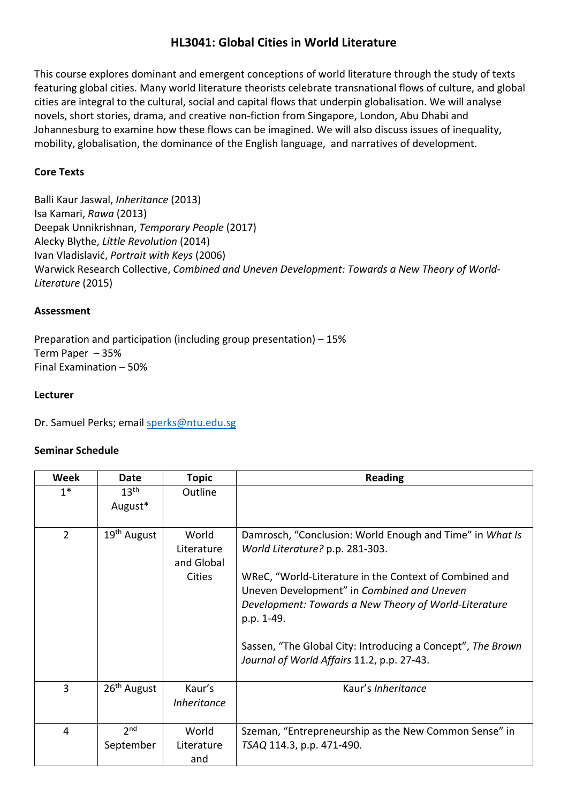# **HL3041: Global Cities in World Literature**

This course explores dominant and emergent conceptions of world literature through the study of texts featuring global cities. Many world literature theorists celebrate transnational flows of culture, and global cities are integral to the cultural, social and capital flows that underpin globalisation. We will analyse novels, short stories, drama, and creative non-fiction from Singapore, London, Abu Dhabi and Johannesburg to examine how these flows can be imagined. We will also discuss issues of inequality, mobility, globalisation, the dominance of the English language, and narratives of development.

## **Core Texts**

Balli Kaur Jaswal, *Inheritance* (2013) Isa Kamari, *Rawa* (2013) Deepak Unnikrishnan, *Temporary People* (2017) Alecky Blythe, *Little Revolution* (2014) Ivan Vladislavić, *Portrait with Keys* (2006) Warwick Research Collective, *Combined and Uneven Development: Towards a New Theory of World-Literature* (2015)

### **Assessment**

Preparation and participation (including group presentation) – 15% Term Paper – 35% Final Examination – 50%

#### **Lecturer**

Dr. Samuel Perks; email [sperks@ntu.edu.sg](mailto:sperks@ntu.edu.sg)

## **Seminar Schedule**

| Week           | <b>Date</b>                  | <b>Topic</b>                                       | <b>Reading</b>                                                                                                                                                                                                                                                                                                                                                                          |
|----------------|------------------------------|----------------------------------------------------|-----------------------------------------------------------------------------------------------------------------------------------------------------------------------------------------------------------------------------------------------------------------------------------------------------------------------------------------------------------------------------------------|
| $1*$           | 13 <sup>th</sup><br>August*  | Outline                                            |                                                                                                                                                                                                                                                                                                                                                                                         |
| $\overline{2}$ | 19 <sup>th</sup> August      | World<br>Literature<br>and Global<br><b>Cities</b> | Damrosch, "Conclusion: World Enough and Time" in What Is<br>World Literature? p.p. 281-303.<br>WReC, "World-Literature in the Context of Combined and<br>Uneven Development" in Combined and Uneven<br>Development: Towards a New Theory of World-Literature<br>p.p. 1-49.<br>Sassen, "The Global City: Introducing a Concept", The Brown<br>Journal of World Affairs 11.2, p.p. 27-43. |
| $\overline{3}$ | $26th$ August                | Kaur's<br><b>Inheritance</b>                       | Kaur's <i>Inheritance</i>                                                                                                                                                                                                                                                                                                                                                               |
| 4              | 2 <sub>nd</sub><br>September | World<br>Literature<br>and                         | Szeman, "Entrepreneurship as the New Common Sense" in<br>TSAQ 114.3, p.p. 471-490.                                                                                                                                                                                                                                                                                                      |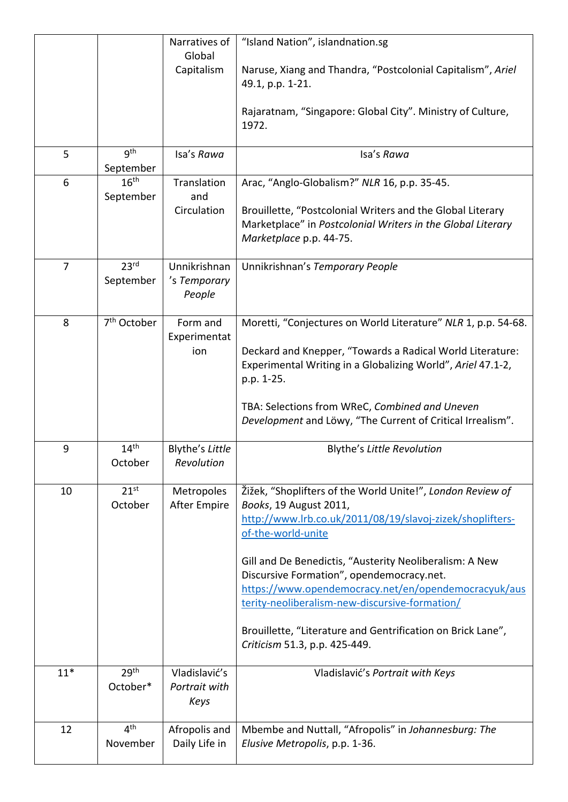| 5<br>$6\phantom{1}6$ | 9 <sup>th</sup><br>September<br>16 <sup>th</sup><br>September | Narratives of<br>Global<br>Capitalism<br>Isa's Rawa<br>Translation<br>and<br>Circulation | "Island Nation", islandnation.sg<br>Naruse, Xiang and Thandra, "Postcolonial Capitalism", Ariel<br>49.1, p.p. 1-21.<br>Rajaratnam, "Singapore: Global City". Ministry of Culture,<br>1972.<br>Isa's Rawa<br>Arac, "Anglo-Globalism?" NLR 16, p.p. 35-45.<br>Brouillette, "Postcolonial Writers and the Global Literary<br>Marketplace" in Postcolonial Writers in the Global Literary                                                                                                     |
|----------------------|---------------------------------------------------------------|------------------------------------------------------------------------------------------|-------------------------------------------------------------------------------------------------------------------------------------------------------------------------------------------------------------------------------------------------------------------------------------------------------------------------------------------------------------------------------------------------------------------------------------------------------------------------------------------|
| $\overline{7}$       | 23 <sup>rd</sup>                                              | Unnikrishnan                                                                             | Marketplace p.p. 44-75.<br>Unnikrishnan's Temporary People                                                                                                                                                                                                                                                                                                                                                                                                                                |
|                      | September                                                     | 's Temporary<br>People                                                                   |                                                                                                                                                                                                                                                                                                                                                                                                                                                                                           |
| 8                    | 7 <sup>th</sup> October                                       | Form and<br>Experimentat<br>ion                                                          | Moretti, "Conjectures on World Literature" NLR 1, p.p. 54-68.<br>Deckard and Knepper, "Towards a Radical World Literature:<br>Experimental Writing in a Globalizing World", Ariel 47.1-2,<br>p.p. 1-25.<br>TBA: Selections from WReC, Combined and Uneven<br>Development and Löwy, "The Current of Critical Irrealism".                                                                                                                                                                   |
| 9                    | 14 <sup>th</sup><br>October                                   | Blythe's Little<br>Revolution                                                            | <b>Blythe's Little Revolution</b>                                                                                                                                                                                                                                                                                                                                                                                                                                                         |
| 10                   | 21 <sup>st</sup><br>October                                   | Metropoles<br><b>After Empire</b>                                                        | Žižek, "Shoplifters of the World Unite!", London Review of<br>Books, 19 August 2011,<br>http://www.lrb.co.uk/2011/08/19/slavoj-zizek/shoplifters-<br>of-the-world-unite<br>Gill and De Benedictis, "Austerity Neoliberalism: A New<br>Discursive Formation", opendemocracy.net.<br>https://www.opendemocracy.net/en/opendemocracyuk/aus<br>terity-neoliberalism-new-discursive-formation/<br>Brouillette, "Literature and Gentrification on Brick Lane",<br>Criticism 51.3, p.p. 425-449. |
| $11*$                | 29th<br>October*                                              | Vladislavić's<br>Portrait with<br>Keys                                                   | Vladislavić's Portrait with Keys                                                                                                                                                                                                                                                                                                                                                                                                                                                          |
| 12                   | 4 <sup>th</sup><br>November                                   | Afropolis and<br>Daily Life in                                                           | Mbembe and Nuttall, "Afropolis" in Johannesburg: The<br>Elusive Metropolis, p.p. 1-36.                                                                                                                                                                                                                                                                                                                                                                                                    |